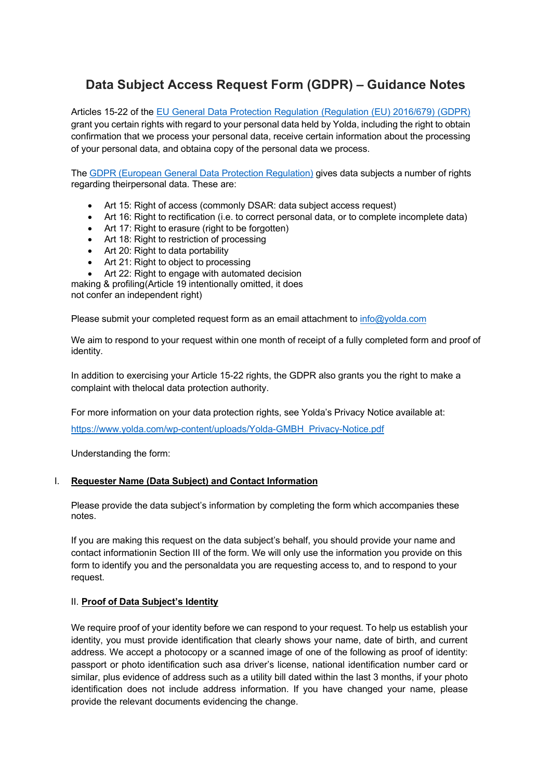# **Data Subject Access Request Form (GDPR) – Guidance Notes**

Articles 15-22 of the EU General Data Protection Regulation (Regulation (EU) 2016/679) (GDPR) grant you certain rights with regard to your personal data held by Yolda, including the right to obtain confirmation that we process your personal data, receive certain information about the processing of your personal data, and obtaina copy of the personal data we process.

The GDPR (European General Data Protection Regulation) gives data subjects a number of rights regarding theirpersonal data. These are:

- Art 15: Right of access (commonly DSAR: data subject access request)
- Art 16: Right to rectification (i.e. to correct personal data, or to complete incomplete data)
- Art 17: Right to erasure (right to be forgotten)
- Art 18: Right to restriction of processing
- Art 20: Right to data portability
- Art 21: Right to object to processing
- Art 22: Right to engage with automated decision

making & profiling(Article 19 intentionally omitted, it does not confer an independent right)

Please submit your completed request form as an email attachment to info@yolda.com

We aim to respond to your request within one month of receipt of a fully completed form and proof of identity.

In addition to exercising your Article 15-22 rights, the GDPR also grants you the right to make a complaint with thelocal data protection authority.

For more information on your data protection rights, see Yolda's Privacy Notice available at:

https://www.yolda.com/wp-content/uploads/Yolda-GMBH\_Privacy-Notice.pdf

Understanding the form:

## I. **Requester Name (Data Subject) and Contact Information**

Please provide the data subject's information by completing the form which accompanies these notes.

If you are making this request on the data subject's behalf, you should provide your name and contact informationin Section III of the form. We will only use the information you provide on this form to identify you and the personaldata you are requesting access to, and to respond to your request.

#### II. **Proof of Data Subject's Identity**

We require proof of your identity before we can respond to your request. To help us establish your identity, you must provide identification that clearly shows your name, date of birth, and current address. We accept a photocopy or a scanned image of one of the following as proof of identity: passport or photo identification such asa driver's license, national identification number card or similar, plus evidence of address such as a utility bill dated within the last 3 months, if your photo identification does not include address information. If you have changed your name, please provide the relevant documents evidencing the change.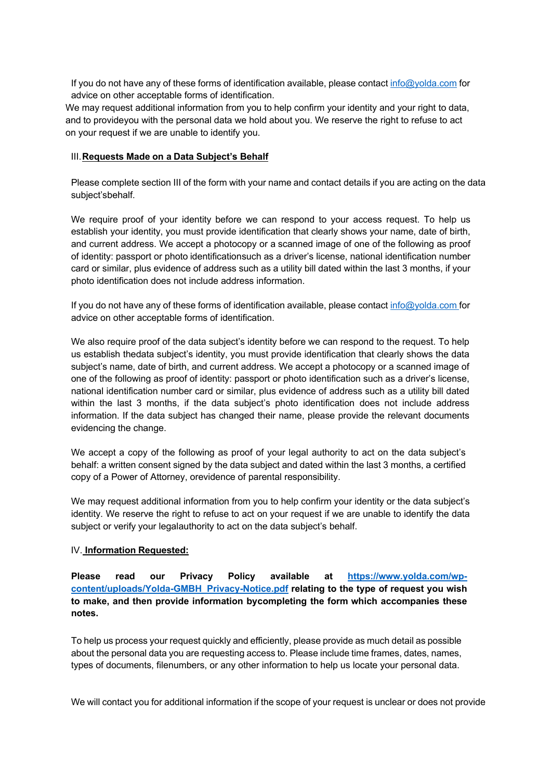If you do not have any of these forms of identification available, please contact info@yolda.com for advice on other acceptable forms of identification.

We may request additional information from you to help confirm your identity and your right to data, and to provideyou with the personal data we hold about you. We reserve the right to refuse to act on your request if we are unable to identify you.

### III.**Requests Made on a Data Subject's Behalf**

Please complete section III of the form with your name and contact details if you are acting on the data subject'sbehalf.

We require proof of your identity before we can respond to your access request. To help us establish your identity, you must provide identification that clearly shows your name, date of birth, and current address. We accept a photocopy or a scanned image of one of the following as proof of identity: passport or photo identificationsuch as a driver's license, national identification number card or similar, plus evidence of address such as a utility bill dated within the last 3 months, if your photo identification does not include address information.

If you do not have any of these forms of identification available, please contact info@yolda.com for advice on other acceptable forms of identification.

We also require proof of the data subject's identity before we can respond to the request. To help us establish thedata subject's identity, you must provide identification that clearly shows the data subject's name, date of birth, and current address. We accept a photocopy or a scanned image of one of the following as proof of identity: passport or photo identification such as a driver's license, national identification number card or similar, plus evidence of address such as a utility bill dated within the last 3 months, if the data subject's photo identification does not include address information. If the data subject has changed their name, please provide the relevant documents evidencing the change.

We accept a copy of the following as proof of your legal authority to act on the data subject's behalf: a written consent signed by the data subject and dated within the last 3 months, a certified copy of a Power of Attorney, orevidence of parental responsibility.

We may request additional information from you to help confirm your identity or the data subject's identity. We reserve the right to refuse to act on your request if we are unable to identify the data subject or verify your legalauthority to act on the data subject's behalf.

## IV. **Information Requested:**

**Please read our Privacy Policy available at https://www.yolda.com/wpcontent/uploads/Yolda-GMBH\_Privacy-Notice.pdf relating to the type of request you wish to make, and then provide information bycompleting the form which accompanies these notes.**

To help us process your request quickly and efficiently, please provide as much detail as possible about the personal data you are requesting access to. Please include time frames, dates, names, types of documents, filenumbers, or any other information to help us locate your personal data.

We will contact you for additional information if the scope of your request is unclear or does not provide